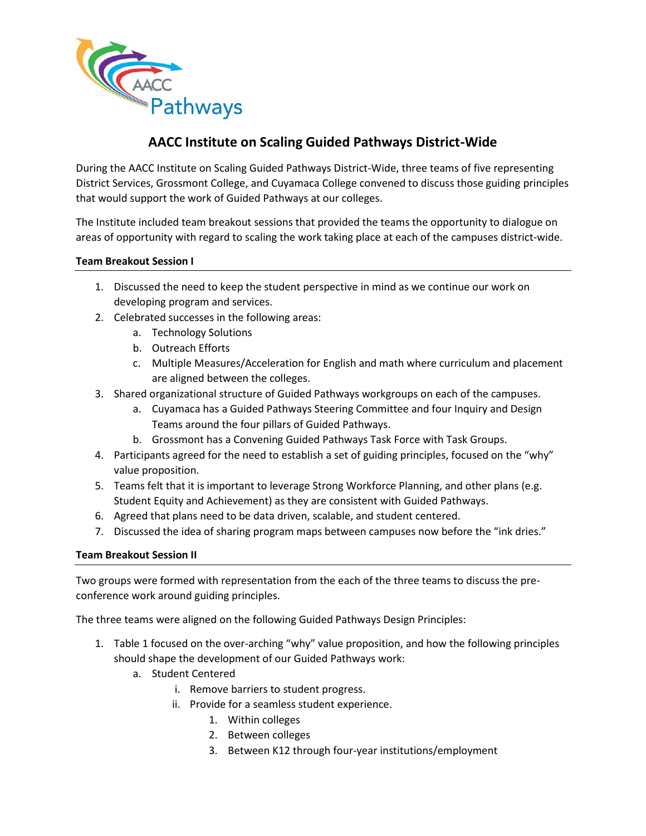

During the AACC Institute on Scaling Guided Pathways District-Wide, three teams of five representing District Services, Grossmont College, and Cuyamaca College convened to discuss those guiding principles that would support the work of Guided Pathways at our colleges.

The Institute included team breakout sessions that provided the teams the opportunity to dialogue on areas of opportunity with regard to scaling the work taking place at each of the campuses district-wide.

## **Team Breakout Session I**

- 1. Discussed the need to keep the student perspective in mind as we continue our work on developing program and services.
- 2. Celebrated successes in the following areas:
	- a. Technology Solutions
	- b. Outreach Efforts
	- c. Multiple Measures/Acceleration for English and math where curriculum and placement are aligned between the colleges.
- 3. Shared organizational structure of Guided Pathways workgroups on each of the campuses.
	- a. Cuyamaca has a Guided Pathways Steering Committee and four Inquiry and Design Teams around the four pillars of Guided Pathways.
	- b. Grossmont has a Convening Guided Pathways Task Force with Task Groups.
- 4. Participants agreed for the need to establish a set of guiding principles, focused on the "why" value proposition.
- 5. Teams felt that it is important to leverage Strong Workforce Planning, and other plans (e.g. Student Equity and Achievement) as they are consistent with Guided Pathways.
- 6. Agreed that plans need to be data driven, scalable, and student centered.
- 7. Discussed the idea of sharing program maps between campuses now before the "ink dries."

## **Team Breakout Session II**

Two groups were formed with representation from the each of the three teams to discuss the preconference work around guiding principles.

The three teams were aligned on the following Guided Pathways Design Principles:

- 1. Table 1 focused on the over-arching "why" value proposition, and how the following principles should shape the development of our Guided Pathways work:
	- a. Student Centered
		- i. Remove barriers to student progress.
		- ii. Provide for a seamless student experience.
			- 1. Within colleges
			- 2. Between colleges
			- 3. Between K12 through four-year institutions/employment